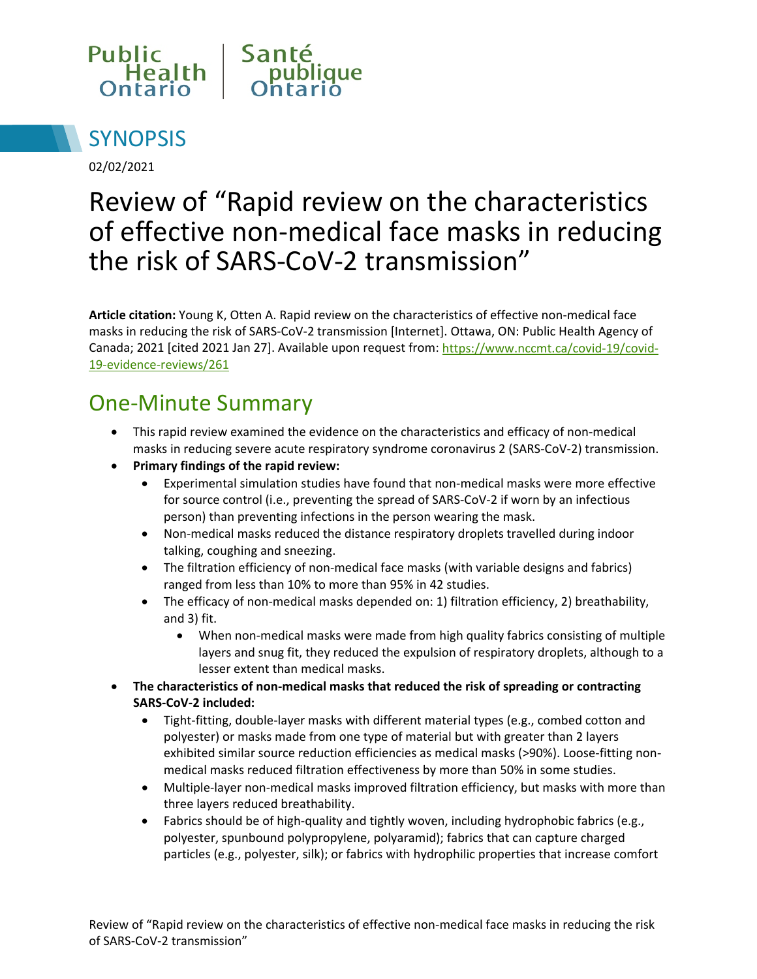



02/02/2021

# Review of "Rapid review on the characteristics of effective non-medical face masks in reducing the risk of SARS-CoV-2 transmission"

**Article citation:** Young K, Otten A. Rapid review on the characteristics of effective non-medical face masks in reducing the risk of SARS-CoV-2 transmission [Internet]. Ottawa, ON: Public Health Agency of Canada; 2021 [cited 2021 Jan 27]. Available upon request from: [https://www.nccmt.ca/covid-19/covid-](https://www.nccmt.ca/covid-19/covid-19-evidence-reviews/261)[19-evidence-reviews/261](https://www.nccmt.ca/covid-19/covid-19-evidence-reviews/261)

#### One-Minute Summary

- This rapid review examined the evidence on the characteristics and efficacy of non-medical masks in reducing severe acute respiratory syndrome coronavirus 2 (SARS-CoV-2) transmission.
- **Primary findings of the rapid review:** 
	- Experimental simulation studies have found that non-medical masks were more effective for source control (i.e., preventing the spread of SARS-CoV-2 if worn by an infectious person) than preventing infections in the person wearing the mask.
	- Non-medical masks reduced the distance respiratory droplets travelled during indoor talking, coughing and sneezing.
	- The filtration efficiency of non-medical face masks (with variable designs and fabrics) ranged from less than 10% to more than 95% in 42 studies.
	- The efficacy of non-medical masks depended on: 1) filtration efficiency, 2) breathability, and 3) fit.
		- When non-medical masks were made from high quality fabrics consisting of multiple layers and snug fit, they reduced the expulsion of respiratory droplets, although to a lesser extent than medical masks.
- **The characteristics of non-medical masks that reduced the risk of spreading or contracting SARS-CoV-2 included:** 
	- Tight-fitting, double-layer masks with different material types (e.g., combed cotton and polyester) or masks made from one type of material but with greater than 2 layers exhibited similar source reduction efficiencies as medical masks (>90%). Loose-fitting nonmedical masks reduced filtration effectiveness by more than 50% in some studies.
	- Multiple-layer non-medical masks improved filtration efficiency, but masks with more than three layers reduced breathability.
	- Fabrics should be of high-quality and tightly woven, including hydrophobic fabrics (e.g., polyester, spunbound polypropylene, polyaramid); fabrics that can capture charged particles (e.g., polyester, silk); or fabrics with hydrophilic properties that increase comfort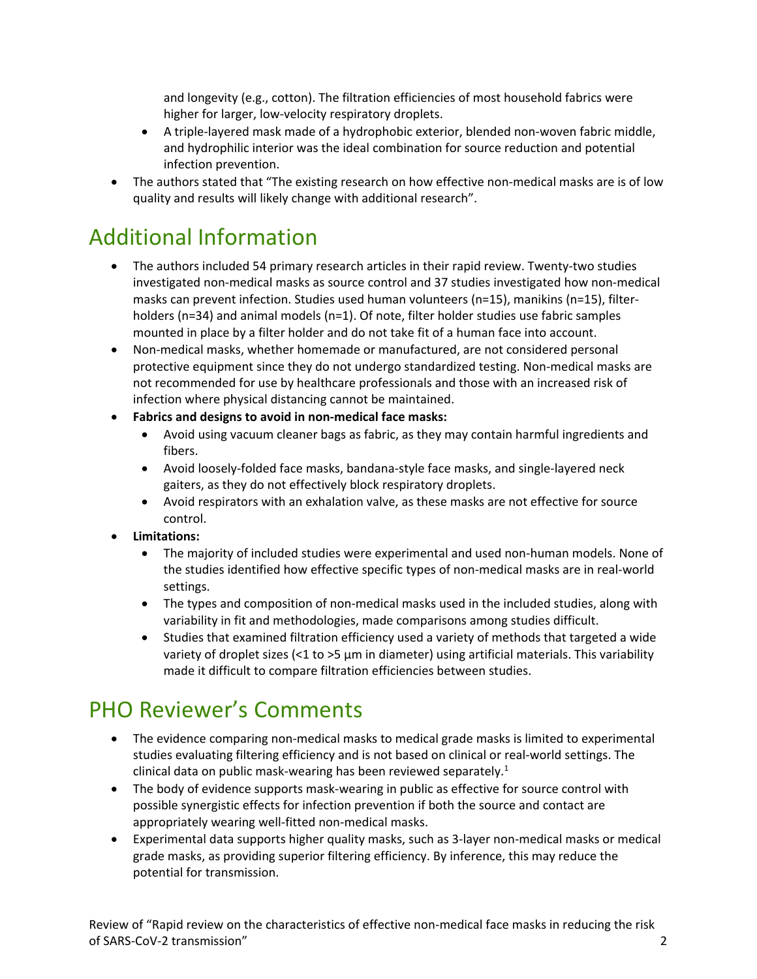and longevity (e.g., cotton). The filtration efficiencies of most household fabrics were higher for larger, low-velocity respiratory droplets.

- A triple-layered mask made of a hydrophobic exterior, blended non-woven fabric middle, and hydrophilic interior was the ideal combination for source reduction and potential infection prevention.
- The authors stated that "The existing research on how effective non-medical masks are is of low quality and results will likely change with additional research".

#### Additional Information

- The authors included 54 primary research articles in their rapid review. Twenty-two studies investigated non-medical masks as source control and 37 studies investigated how non-medical masks can prevent infection. Studies used human volunteers (n=15), manikins (n=15), filterholders (n=34) and animal models (n=1). Of note, filter holder studies use fabric samples mounted in place by a filter holder and do not take fit of a human face into account.
- Non-medical masks, whether homemade or manufactured, are not considered personal protective equipment since they do not undergo standardized testing. Non-medical masks are not recommended for use by healthcare professionals and those with an increased risk of infection where physical distancing cannot be maintained.
- **Fabrics and designs to avoid in non-medical face masks:**
	- Avoid using vacuum cleaner bags as fabric, as they may contain harmful ingredients and fibers.
	- Avoid loosely-folded face masks, bandana-style face masks, and single-layered neck gaiters, as they do not effectively block respiratory droplets.
	- Avoid respirators with an exhalation valve, as these masks are not effective for source control.
- **Limitations:**
	- The majority of included studies were experimental and used non-human models. None of the studies identified how effective specific types of non-medical masks are in real-world settings.
	- The types and composition of non-medical masks used in the included studies, along with variability in fit and methodologies, made comparisons among studies difficult.
	- Studies that examined filtration efficiency used a variety of methods that targeted a wide variety of droplet sizes  $\left($ <1 to >5  $\mu$ m in diameter) using artificial materials. This variability made it difficult to compare filtration efficiencies between studies.

#### PHO Reviewer's Comments

- The evidence comparing non-medical masks to medical grade masks is limited to experimental studies evaluating filtering efficiency and is not based on clinical or real-world settings. The clinical data on public mask-wearing has been reviewed separately. $1$
- The body of evidence supports mask-wearing in public as effective for source control with possible synergistic effects for infection prevention if both the source and contact are appropriately wearing well-fitted non-medical masks.
- Experimental data supports higher quality masks, such as 3-layer non-medical masks or medical grade masks, as providing superior filtering efficiency. By inference, this may reduce the potential for transmission.